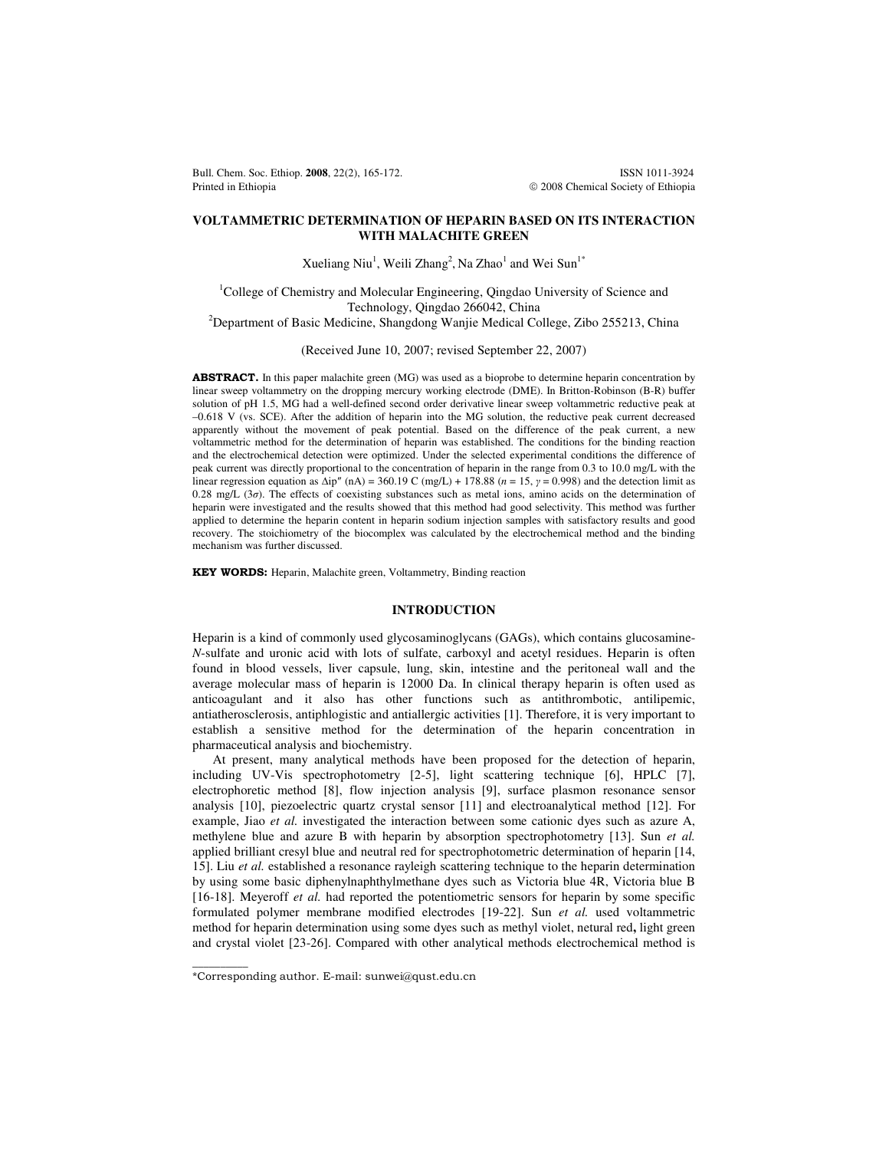Bull. Chem. Soc. Ethiop. **2008**, 22(2), 165-172. **ISSN 1011-3924** ISSN 1011-3924 Printed in Ethiopia **2008** Chemical Society of Ethiopia

# **VOLTAMMETRIC DETERMINATION OF HEPARIN BASED ON ITS INTERACTION WITH MALACHITE GREEN**

Xueliang Niu<sup>1</sup>, Weili Zhang<sup>2</sup>, Na Zhao<sup>1</sup> and Wei Sun<sup>1\*</sup>

<sup>1</sup>College of Chemistry and Molecular Engineering, Qingdao University of Science and Technology, Qingdao 266042, China <sup>2</sup>Department of Basic Medicine, Shangdong Wanjie Medical College, Zibo 255213, China

(Received June 10, 2007; revised September 22, 2007)

ABSTRACT. In this paper malachite green (MG) was used as a bioprobe to determine heparin concentration by linear sweep voltammetry on the dropping mercury working electrode (DME). In Britton-Robinson (B-R) buffer solution of pH 1.5, MG had a well-defined second order derivative linear sweep voltammetric reductive peak at –0.618 V (vs. SCE). After the addition of heparin into the MG solution, the reductive peak current decreased apparently without the movement of peak potential. Based on the difference of the peak current, a new voltammetric method for the determination of heparin was established. The conditions for the binding reaction and the electrochemical detection were optimized. Under the selected experimental conditions the difference of peak current was directly proportional to the concentration of heparin in the range from 0.3 to 10.0 mg/L with the linear regression equation as  $\Delta$ ip" (nA) = 360.19 C (mg/L) + 178.88 (*n* = 15, *y* = 0.998) and the detection limit as 0.28 mg/L (3σ). The effects of coexisting substances such as metal ions, amino acids on the determination of heparin were investigated and the results showed that this method had good selectivity. This method was further applied to determine the heparin content in heparin sodium injection samples with satisfactory results and good recovery. The stoichiometry of the biocomplex was calculated by the electrochemical method and the binding mechanism was further discussed.

**KEY WORDS:** Heparin, Malachite green, Voltammetry, Binding reaction

### **INTRODUCTION**

Heparin is a kind of commonly used glycosaminoglycans (GAGs), which contains glucosamine-*N*-sulfate and uronic acid with lots of sulfate, carboxyl and acetyl residues. Heparin is often found in blood vessels, liver capsule, lung, skin, intestine and the peritoneal wall and the average molecular mass of heparin is 12000 Da. In clinical therapy heparin is often used as anticoagulant and it also has other functions such as antithrombotic, antilipemic, antiatherosclerosis, antiphlogistic and antiallergic activities [1]. Therefore, it is very important to establish a sensitive method for the determination of the heparin concentration in pharmaceutical analysis and biochemistry.

At present, many analytical methods have been proposed for the detection of heparin, including UV-Vis spectrophotometry [2-5], light scattering technique [6], HPLC [7], electrophoretic method [8], flow injection analysis [9], surface plasmon resonance sensor analysis [10], piezoelectric quartz crystal sensor [11] and electroanalytical method [12]. For example, Jiao *et al.* investigated the interaction between some cationic dyes such as azure A, methylene blue and azure B with heparin by absorption spectrophotometry [13]. Sun *et al.* applied brilliant cresyl blue and neutral red for spectrophotometric determination of heparin [14, 15]. Liu *et al.* established a resonance rayleigh scattering technique to the heparin determination by using some basic diphenylnaphthylmethane dyes such as Victoria blue 4R, Victoria blue B [16-18]. Meyeroff *et al.* had reported the potentiometric sensors for heparin by some specific formulated polymer membrane modified electrodes [19-22]. Sun *et al.* used voltammetric method for heparin determination using some dyes such as methyl violet, netural red**,** light green and crystal violet [23-26]. Compared with other analytical methods electrochemical method is

 $\overline{\phantom{a}}$ 

<sup>\*</sup>Corresponding author. E-mail: sunwei@qust.edu.cn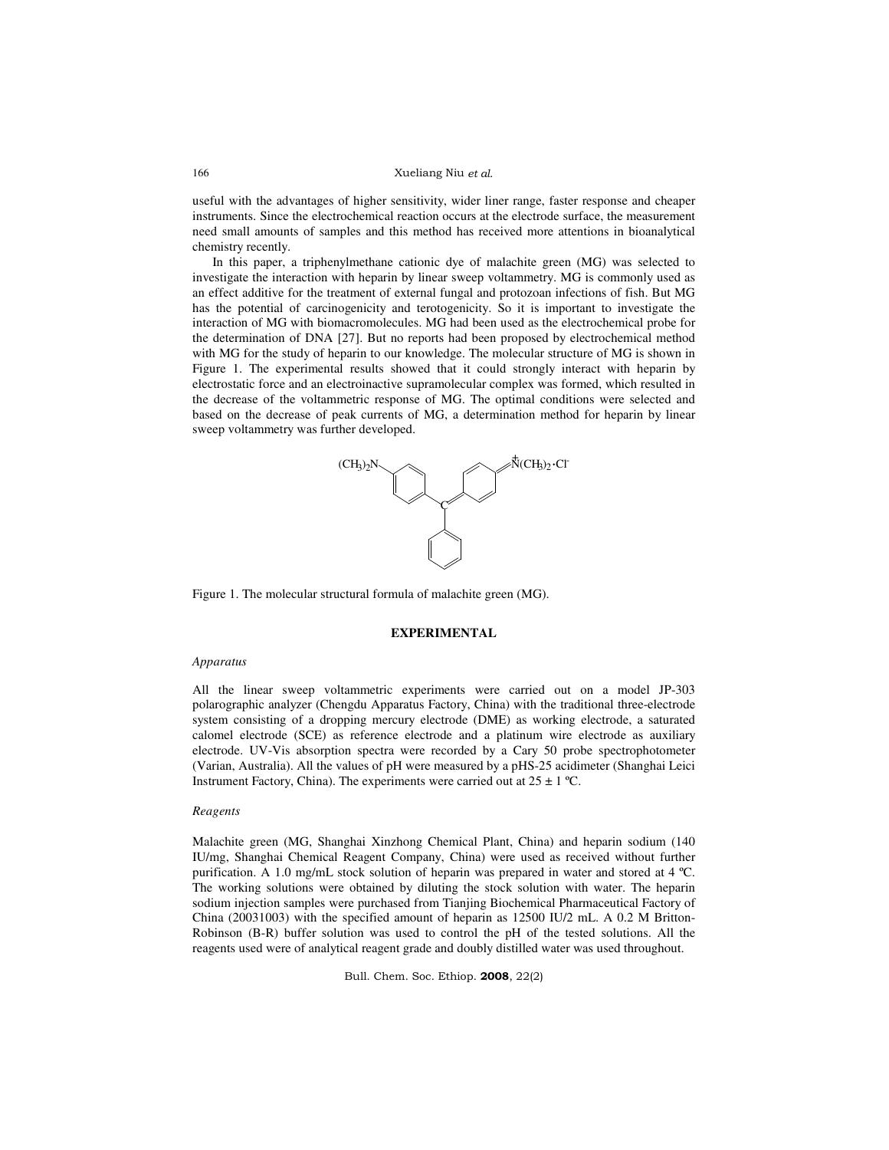### Xueliang Niu et al.

useful with the advantages of higher sensitivity, wider liner range, faster response and cheaper instruments. Since the electrochemical reaction occurs at the electrode surface, the measurement need small amounts of samples and this method has received more attentions in bioanalytical chemistry recently.

In this paper, a triphenylmethane cationic dye of malachite green (MG) was selected to investigate the interaction with heparin by linear sweep voltammetry. MG is commonly used as an effect additive for the treatment of external fungal and protozoan infections of fish. But MG has the potential of carcinogenicity and terotogenicity. So it is important to investigate the interaction of MG with biomacromolecules. MG had been used as the electrochemical probe for the determination of DNA [27]. But no reports had been proposed by electrochemical method with MG for the study of heparin to our knowledge. The molecular structure of MG is shown in Figure 1. The experimental results showed that it could strongly interact with heparin by electrostatic force and an electroinactive supramolecular complex was formed, which resulted in the decrease of the voltammetric response of MG. The optimal conditions were selected and based on the decrease of peak currents of MG, a determination method for heparin by linear sweep voltammetry was further developed.



Figure 1. The molecular structural formula of malachite green (MG).

# **EXPERIMENTAL**

#### *Apparatus*

All the linear sweep voltammetric experiments were carried out on a model JP-303 polarographic analyzer (Chengdu Apparatus Factory, China) with the traditional three-electrode system consisting of a dropping mercury electrode (DME) as working electrode, a saturated calomel electrode (SCE) as reference electrode and a platinum wire electrode as auxiliary electrode. UV-Vis absorption spectra were recorded by a Cary 50 probe spectrophotometer (Varian, Australia). All the values of pH were measured by a pHS-25 acidimeter (Shanghai Leici Instrument Factory, China). The experiments were carried out at  $25 \pm 1$  °C.

### *Reagents*

Malachite green (MG, Shanghai Xinzhong Chemical Plant, China) and heparin sodium (140 IU/mg, Shanghai Chemical Reagent Company, China) were used as received without further purification. A 1.0 mg/mL stock solution of heparin was prepared in water and stored at 4 ºC. The working solutions were obtained by diluting the stock solution with water. The heparin sodium injection samples were purchased from Tianjing Biochemical Pharmaceutical Factory of China (20031003) with the specified amount of heparin as 12500 IU/2 mL. A 0.2 M Britton-Robinson (B-R) buffer solution was used to control the pH of the tested solutions. All the reagents used were of analytical reagent grade and doubly distilled water was used throughout.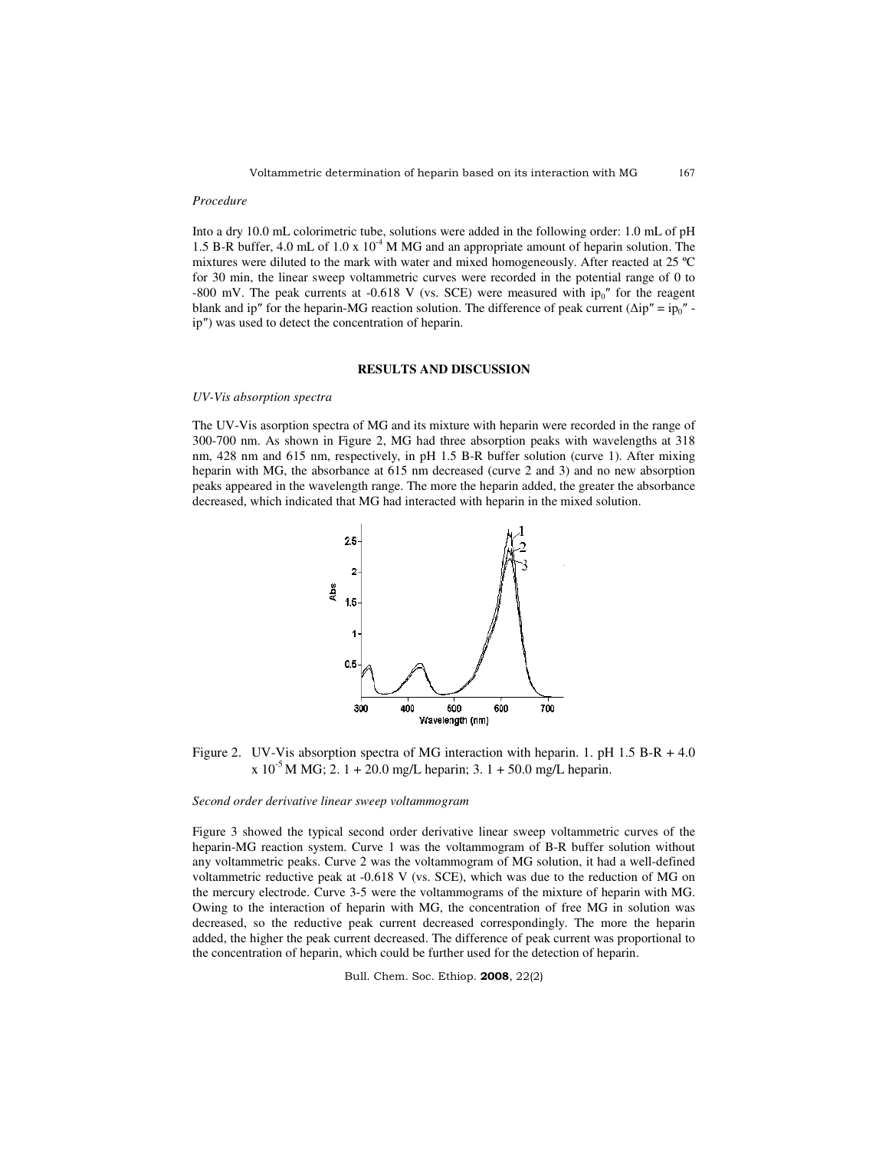167

#### *Procedure*

Into a dry 10.0 mL colorimetric tube, solutions were added in the following order: 1.0 mL of pH 1.5 B-R buffer, 4.0 mL of 1.0 x  $10<sup>4</sup>$  M MG and an appropriate amount of heparin solution. The mixtures were diluted to the mark with water and mixed homogeneously. After reacted at 25 ºC for 30 min, the linear sweep voltammetric curves were recorded in the potential range of 0 to -800 mV. The peak currents at -0.618 V (vs. SCE) were measured with  $ip_0$ " for the reagent blank and ip" for the heparin-MG reaction solution. The difference of peak current ( $\Delta i p'' = i p_0''$  ip″) was used to detect the concentration of heparin.

## **RESULTS AND DISCUSSION**

### *UV-Vis absorption spectra*

The UV-Vis asorption spectra of MG and its mixture with heparin were recorded in the range of 300-700 nm. As shown in Figure 2, MG had three absorption peaks with wavelengths at 318 nm, 428 nm and 615 nm, respectively, in pH 1.5 B-R buffer solution (curve 1). After mixing heparin with MG, the absorbance at 615 nm decreased (curve 2 and 3) and no new absorption peaks appeared in the wavelength range. The more the heparin added, the greater the absorbance decreased, which indicated that MG had interacted with heparin in the mixed solution.



Figure 2. UV-Vis absorption spectra of MG interaction with heparin. 1. pH 1.5 B-R + 4.0  $x 10^{-5}$  M MG; 2. 1 + 20.0 mg/L heparin; 3. 1 + 50.0 mg/L heparin.

#### *Second order derivative linear sweep voltammogram*

Figure 3 showed the typical second order derivative linear sweep voltammetric curves of the heparin-MG reaction system. Curve 1 was the voltammogram of B-R buffer solution without any voltammetric peaks. Curve 2 was the voltammogram of MG solution, it had a well-defined voltammetric reductive peak at -0.618 V (vs. SCE), which was due to the reduction of MG on the mercury electrode. Curve 3-5 were the voltammograms of the mixture of heparin with MG. Owing to the interaction of heparin with MG, the concentration of free MG in solution was decreased, so the reductive peak current decreased correspondingly. The more the heparin added, the higher the peak current decreased. The difference of peak current was proportional to the concentration of heparin, which could be further used for the detection of heparin.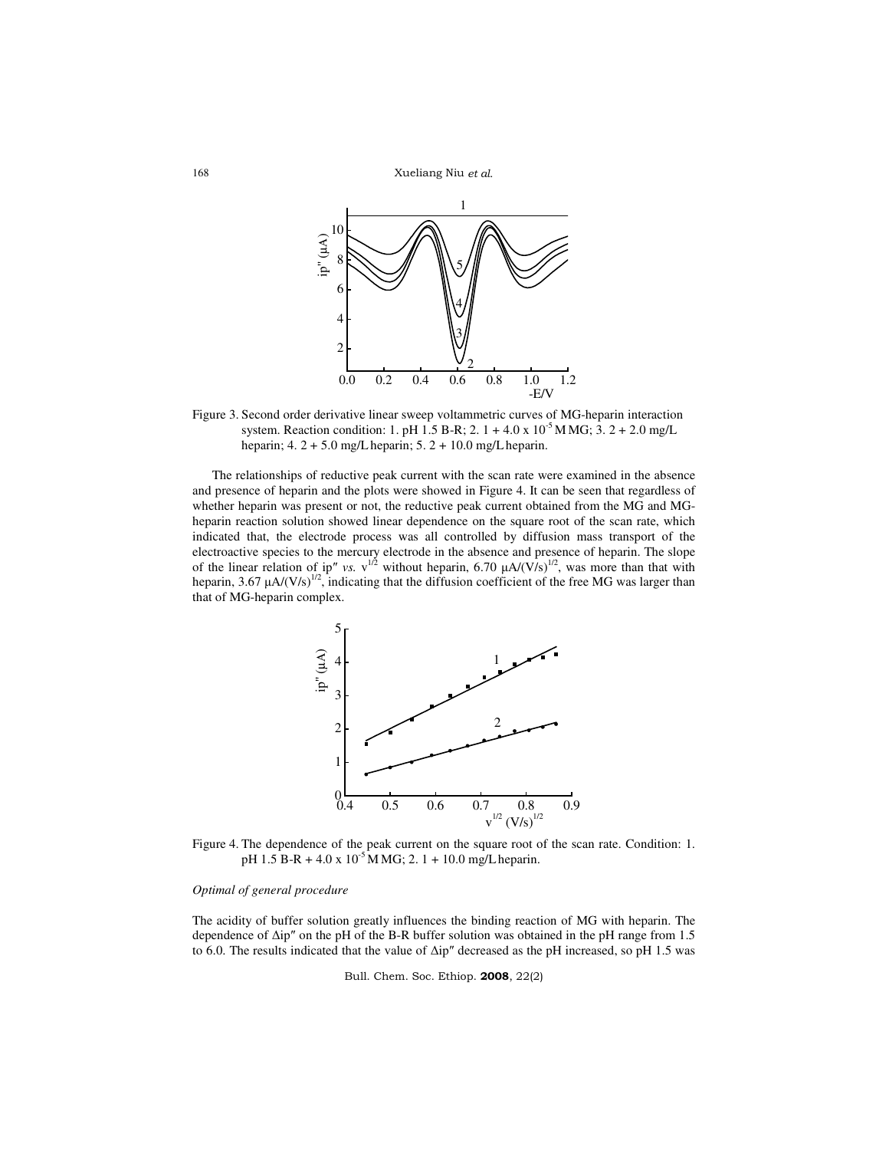Xueliang Niu et al.



Figure 3. Second order derivative linear sweep voltammetric curves of MG-heparin interaction system. Reaction condition: 1. pH 1.5 B-R; 2.  $1 + 4.0 \times 10^{-5}$  M MG; 3.  $2 + 2.0$  mg/L heparin; 4. 2 + 5.0 mg/Lheparin; 5. 2 + 10.0 mg/Lheparin.

The relationships of reductive peak current with the scan rate were examined in the absence and presence of heparin and the plots were showed in Figure 4. It can be seen that regardless of whether heparin was present or not, the reductive peak current obtained from the MG and MGheparin reaction solution showed linear dependence on the square root of the scan rate, which indicated that, the electrode process was all controlled by diffusion mass transport of the electroactive species to the mercury electrode in the absence and presence of heparin. The slope of the linear relation of ip" *vs.*  $v^{1/2}$  without heparin, 6.70  $\mu A/(V/s)^{1/2}$ , was more than that with heparin, 3.67  $\mu A/(V/s)^{1/2}$ , indicating that the diffusion coefficient of the free MG was larger than that of MG-heparin complex.



Figure 4. The dependence of the peak current on the square root of the scan rate. Condition: 1. pH 1.5 B-R + 4.0 x  $10^{-5}$  M MG; 2. 1 + 10.0 mg/L heparin.

## *Optimal of general procedure*

The acidity of buffer solution greatly influences the binding reaction of MG with heparin. The dependence of ∆ip″ on the pH of the B-R buffer solution was obtained in the pH range from 1.5 to 6.0. The results indicated that the value of ∆ip″ decreased as the pH increased, so pH 1.5 was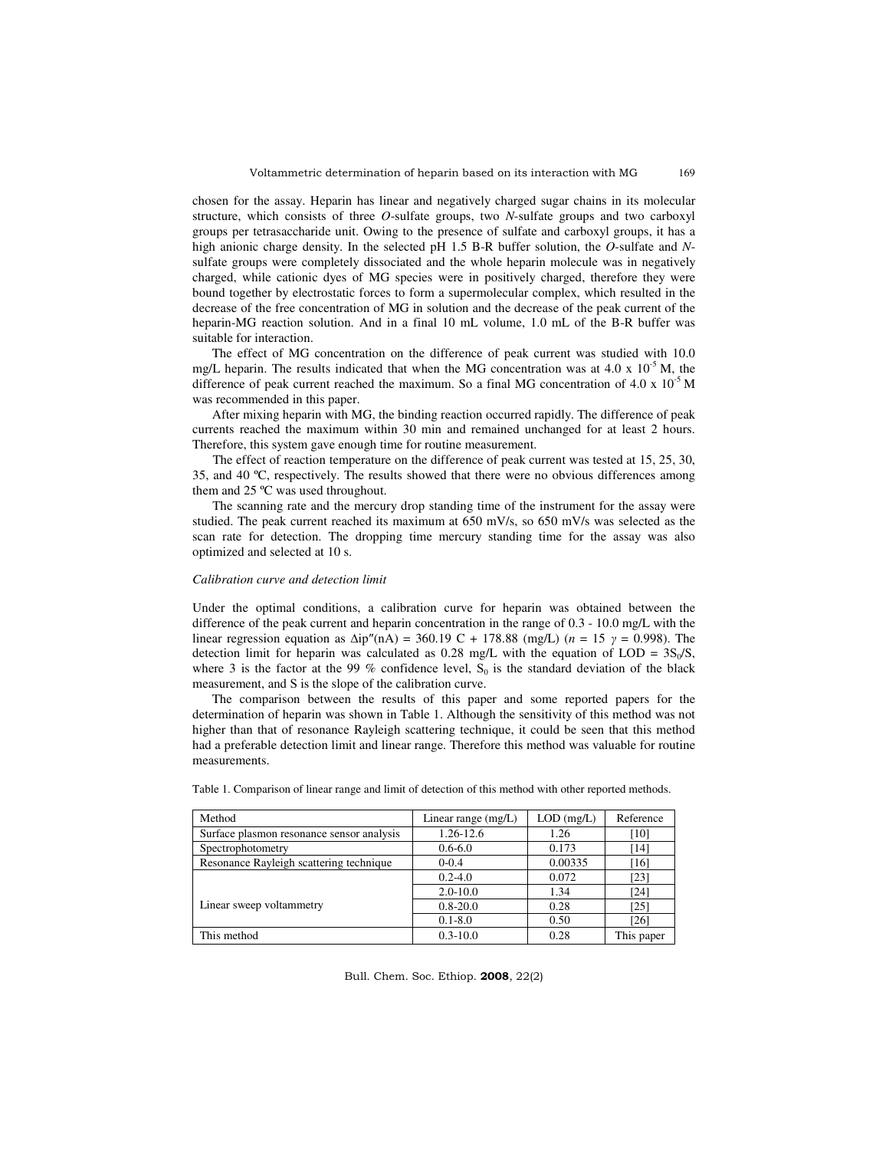169

chosen for the assay. Heparin has linear and negatively charged sugar chains in its molecular structure, which consists of three *O*-sulfate groups, two *N*-sulfate groups and two carboxyl groups per tetrasaccharide unit. Owing to the presence of sulfate and carboxyl groups, it has a high anionic charge density. In the selected pH 1.5 B-R buffer solution, the *O*-sulfate and *N*sulfate groups were completely dissociated and the whole heparin molecule was in negatively charged, while cationic dyes of MG species were in positively charged, therefore they were bound together by electrostatic forces to form a supermolecular complex, which resulted in the decrease of the free concentration of MG in solution and the decrease of the peak current of the heparin-MG reaction solution. And in a final 10 mL volume, 1.0 mL of the B-R buffer was suitable for interaction.

The effect of MG concentration on the difference of peak current was studied with 10.0 mg/L heparin. The results indicated that when the MG concentration was at 4.0 x  $10^{-5}$  M, the difference of peak current reached the maximum. So a final MG concentration of 4.0 x  $10^{-5}$  M was recommended in this paper.

After mixing heparin with MG, the binding reaction occurred rapidly. The difference of peak currents reached the maximum within 30 min and remained unchanged for at least 2 hours. Therefore, this system gave enough time for routine measurement.

The effect of reaction temperature on the difference of peak current was tested at 15, 25, 30, 35, and 40 ºC, respectively. The results showed that there were no obvious differences among them and 25 ºC was used throughout.

The scanning rate and the mercury drop standing time of the instrument for the assay were studied. The peak current reached its maximum at  $650$  mV/s, so  $650$  mV/s was selected as the scan rate for detection. The dropping time mercury standing time for the assay was also optimized and selected at 10 s.

### *Calibration curve and detection limit*

Under the optimal conditions, a calibration curve for heparin was obtained between the difference of the peak current and heparin concentration in the range of 0.3 - 10.0 mg/L with the linear regression equation as ∆ip″(nA) = 360.19 C + 178.88 (mg/L) (*n* = 15 γ = 0.998). The detection limit for heparin was calculated as 0.28 mg/L with the equation of  $LOD = 3S_0/S$ , where 3 is the factor at the 99 % confidence level,  $S_0$  is the standard deviation of the black measurement, and S is the slope of the calibration curve.

The comparison between the results of this paper and some reported papers for the determination of heparin was shown in Table 1. Although the sensitivity of this method was not higher than that of resonance Rayleigh scattering technique, it could be seen that this method had a preferable detection limit and linear range. Therefore this method was valuable for routine measurements.

| Method                                    | Linear range $(mg/L)$ | $LOD$ (mg/L) | Reference  |
|-------------------------------------------|-----------------------|--------------|------------|
| Surface plasmon resonance sensor analysis | 1.26-12.6             | 1.26         | [10]       |
| Spectrophotometry                         | $0.6 - 6.0$           | 0.173        | [14]       |
| Resonance Rayleigh scattering technique   | $0 - 0.4$             | 0.00335      | [16]       |
|                                           | $0.2 - 4.0$           | 0.072        | [23]       |
|                                           | $2.0 - 10.0$          | 1.34         | [24]       |
| Linear sweep voltammetry                  | $0.8 - 20.0$          | 0.28         | [25]       |
|                                           | $0.1 - 8.0$           | 0.50         | [26]       |
| This method                               | $0.3 - 10.0$          | 0.28         | This paper |

Table 1. Comparison of linear range and limit of detection of this method with other reported methods.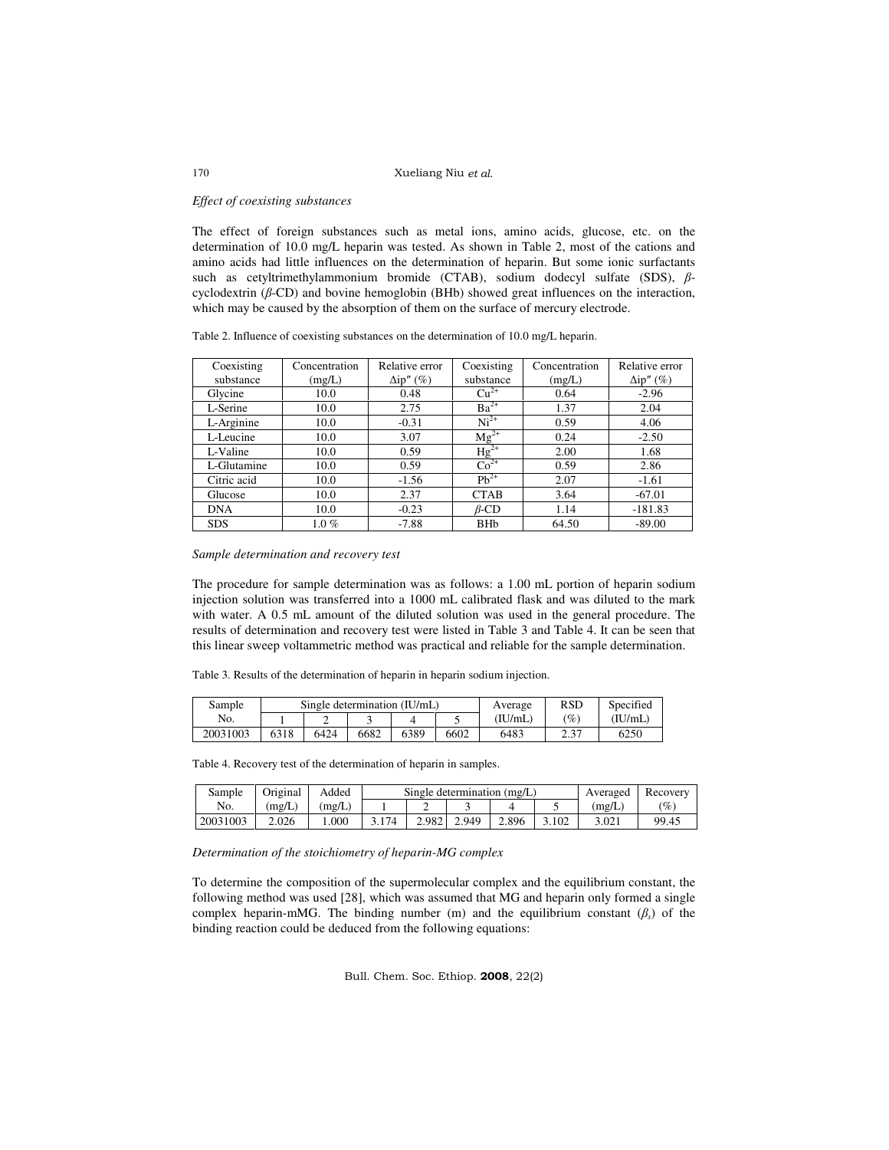### Xueliang Niu et al.

### *Effect of coexisting substances*

The effect of foreign substances such as metal ions, amino acids, glucose, etc. on the determination of 10.0 mg/L heparin was tested. As shown in Table 2, most of the cations and amino acids had little influences on the determination of heparin. But some ionic surfactants such as cetyltrimethylammonium bromide (CTAB), sodium dodecyl sulfate (SDS), βcyclodextrin (β-CD) and bovine hemoglobin (BHb) showed great influences on the interaction, which may be caused by the absorption of them on the surface of mercury electrode.

|  |  |  | Table 2. Influence of coexisting substances on the determination of 10.0 mg/L heparin. |  |  |
|--|--|--|----------------------------------------------------------------------------------------|--|--|
|  |  |  |                                                                                        |  |  |

| Coexisting  | Concentration | Relative error     | Coexisting                  | Concentration | Relative error     |
|-------------|---------------|--------------------|-----------------------------|---------------|--------------------|
| substance   | (mg/L)        | $\Delta i p''$ (%) | substance                   | (mg/L)        | $\Delta i p''(\%)$ |
| Glycine     | 10.0          | 0.48               | $Cu2+$                      | 0.64          | $-2.96$            |
| L-Serine    | 10.0          | 2.75               | $Ba^{2+}$                   | 1.37          | 2.04               |
| L-Arginine  | 10.0          | $-0.31$            | $Ni2+$                      | 0.59          | 4.06               |
| L-Leucine   | 10.0          | 3.07               | $Mg^{2+}$                   | 0.24          | $-2.50$            |
| L-Valine    | 10.0          | 0.59               | $Hg^{2+}$                   | 2.00          | 1.68               |
| L-Glutamine | 10.0          | 0.59               | $\overline{\text{Co}^{2+}}$ | 0.59          | 2.86               |
| Citric acid | 10.0          | $-1.56$            | $Ph^{2+}$                   | 2.07          | $-1.61$            |
| Glucose     | 10.0          | 2.37               | <b>CTAB</b>                 | 3.64          | $-67.01$           |
| <b>DNA</b>  | 10.0          | $-0.23$            | $\beta$ -CD                 | 1.14          | $-181.83$          |
| <b>SDS</b>  | $1.0 \%$      | $-7.88$            | <b>BHb</b>                  | 64.50         | $-89.00$           |

*Sample determination and recovery test* 

The procedure for sample determination was as follows: a 1.00 mL portion of heparin sodium injection solution was transferred into a 1000 mL calibrated flask and was diluted to the mark with water. A 0.5 mL amount of the diluted solution was used in the general procedure. The results of determination and recovery test were listed in Table 3 and Table 4. It can be seen that this linear sweep voltammetric method was practical and reliable for the sample determination.

Table 3. Results of the determination of heparin in heparin sodium injection.

| Sample   |      |      |      | Single determination (IU/mL) | Average | <b>RSD</b> | Specified       |         |  |
|----------|------|------|------|------------------------------|---------|------------|-----------------|---------|--|
| No.      |      |      |      |                              |         | (IU/mL)    | $\mathscr{C}_o$ | (IU/mL) |  |
| 20031003 | 6318 | 6424 | 6682 | 6389                         | 6602    | 6483       | า วา<br>ر . ے   | 6250    |  |

Table 4. Recovery test of the determination of heparin in samples.

| Sample   | Original | Added | Single determination (mg/L) |       |       |       |       | Averaged | Recovery        |
|----------|----------|-------|-----------------------------|-------|-------|-------|-------|----------|-----------------|
| No.      | (mg/L)   | mg/L  |                             |       |       |       |       | (mg/L)   | $\mathscr{O}_0$ |
| 20031003 | 2.026    | .000  | 3.174                       | 2.982 | 2.949 | 2.896 | 3.102 | 3.021    | 99.45           |

*Determination of the stoichiometry of heparin-MG complex* 

To determine the composition of the supermolecular complex and the equilibrium constant, the following method was used [28], which was assumed that MG and heparin only formed a single complex heparin-mMG. The binding number (m) and the equilibrium constant (β*<sup>s</sup>* ) of the binding reaction could be deduced from the following equations:

Bull. Chem. Soc. Ethiop. 2008, 22(2)

### 170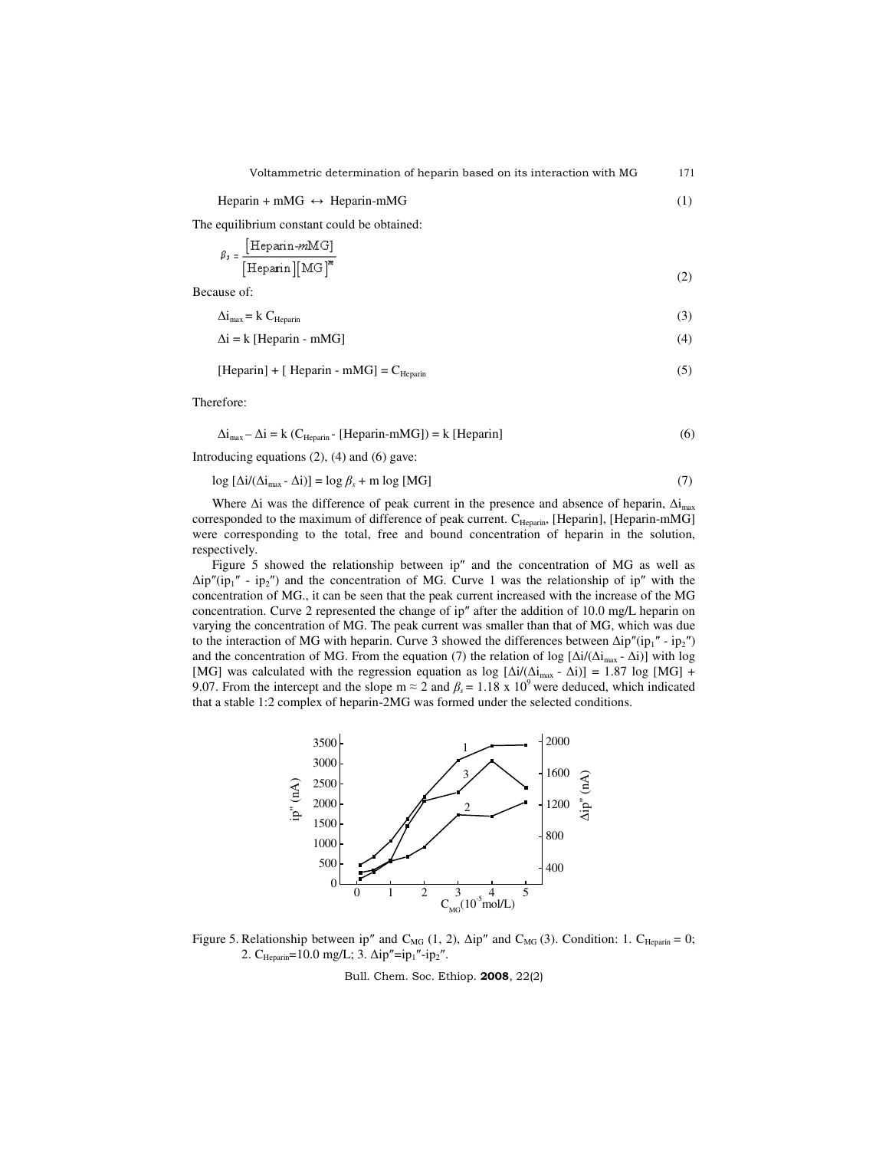$Heparin + mMG \leftrightarrow Heparin-mMG$  (1)

The equilibrium constant could be obtained:

$$
\beta_5 = \frac{\text{[Heparin-}mMG]}{\text{[Heparin]}[\text{MG}]^m} \tag{2}
$$

Because of:

 $\Delta i_{\text{max}} = k C_{\text{Heparin}}$  (3)

$$
\Delta i = k \left[ \text{Heparin} - \text{mMG} \right] \tag{4}
$$

 $[Heparin] + [Heparin - mMG] = C_{Heparin}$  (5)

Therefore:

$$
\Delta i_{\text{max}} - \Delta i = k \left( C_{\text{Heparin}} - \text{[Heparin-mMG]} \right) = k \text{[Heparin]}
$$
 (6)

Introducing equations (2), (4) and (6) gave:

 $\log \left[ \Delta i / (\Delta i_{\text{max}} - \Delta i) \right] = \log \beta_s + m \log \left[ MG \right]$  (7)

Where  $\Delta i$  was the difference of peak current in the presence and absence of heparin,  $\Delta i_{\text{max}}$ corresponded to the maximum of difference of peak current. C<sub>Heparin</sub>, [Heparin], [Heparin-mMG] were corresponding to the total, free and bound concentration of heparin in the solution, respectively.

Figure 5 showed the relationship between ip″ and the concentration of MG as well as  $\Delta i p''(ip_1'' - ip_2'')$  and the concentration of MG. Curve 1 was the relationship of ip" with the concentration of MG., it can be seen that the peak current increased with the increase of the MG concentration. Curve 2 represented the change of ip″ after the addition of 10.0 mg/L heparin on varying the concentration of MG. The peak current was smaller than that of MG, which was due to the interaction of MG with heparin. Curve 3 showed the differences between  $\Delta i p''(ip_1'' - ip_2'')$ and the concentration of MG. From the equation (7) the relation of log  $[\Delta i/(\Delta i_{max} - \Delta i)]$  with log [MG] was calculated with the regression equation as log  $[\Delta i/(\Delta i_{max} - \Delta i)] = 1.87 \log [MG] +$ 9.07. From the intercept and the slope m  $\approx 2$  and  $\beta_s = 1.18 \times 10^9$  were deduced, which indicated that a stable 1:2 complex of heparin-2MG was formed under the selected conditions.



Figure 5. Relationship between ip" and C<sub>MG</sub> (1, 2),  $\Delta$ ip" and C<sub>MG</sub> (3). Condition: 1. C<sub>Heparin</sub> = 0;